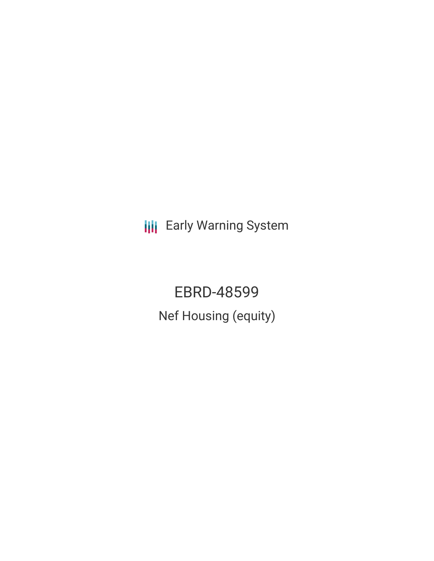**III** Early Warning System

EBRD-48599 Nef Housing (equity)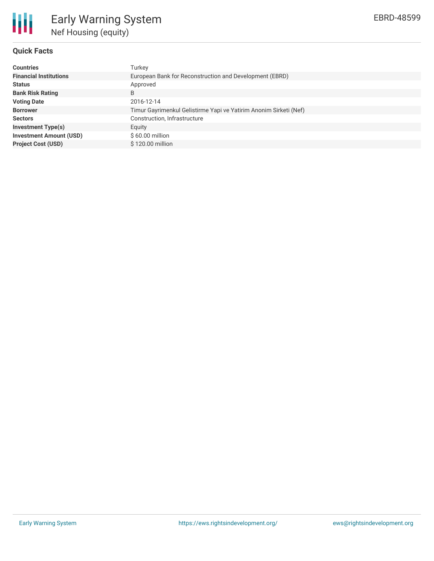

# **Quick Facts**

| <b>Countries</b>               | Turkey                                                            |
|--------------------------------|-------------------------------------------------------------------|
| <b>Financial Institutions</b>  | European Bank for Reconstruction and Development (EBRD)           |
| <b>Status</b>                  | Approved                                                          |
| <b>Bank Risk Rating</b>        | B                                                                 |
| <b>Voting Date</b>             | 2016-12-14                                                        |
| <b>Borrower</b>                | Timur Gayrimenkul Gelistirme Yapi ve Yatirim Anonim Sirketi (Nef) |
| <b>Sectors</b>                 | Construction, Infrastructure                                      |
| <b>Investment Type(s)</b>      | Equity                                                            |
| <b>Investment Amount (USD)</b> | \$60.00 million                                                   |
| <b>Project Cost (USD)</b>      | \$120.00 million                                                  |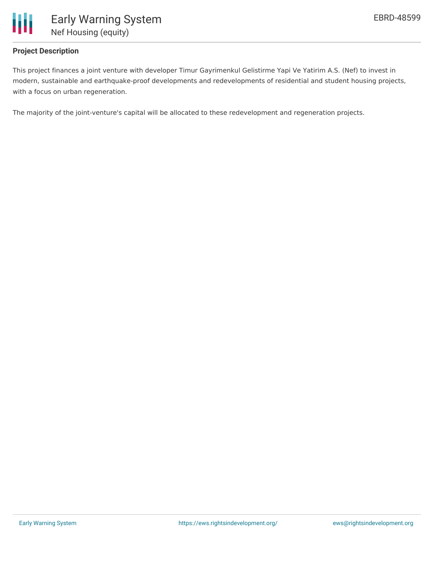

## **Project Description**

This project finances a joint venture with developer Timur Gayrimenkul Gelistirme Yapi Ve Yatirim A.S. (Nef) to invest in modern, sustainable and earthquake-proof developments and redevelopments of residential and student housing projects, with a focus on urban regeneration.

The majority of the joint-venture's capital will be allocated to these redevelopment and regeneration projects.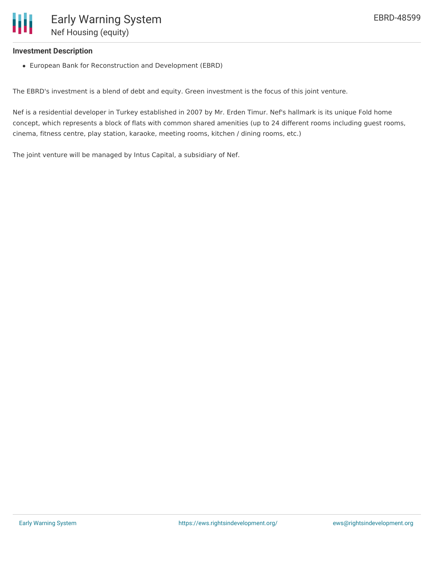

#### **Investment Description**

European Bank for Reconstruction and Development (EBRD)

The EBRD's investment is a blend of debt and equity. Green investment is the focus of this joint venture.

Nef is a residential developer in Turkey established in 2007 by Mr. Erden Timur. Nef's hallmark is its unique Fold home concept, which represents a block of flats with common shared amenities (up to 24 different rooms including guest rooms, cinema, fitness centre, play station, karaoke, meeting rooms, kitchen / dining rooms, etc.)

The joint venture will be managed by Intus Capital, a subsidiary of Nef.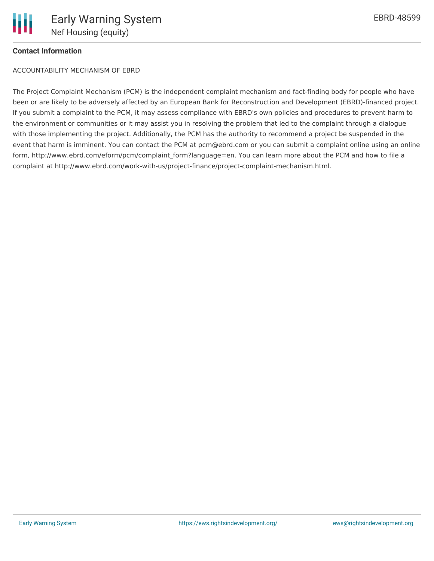### **Contact Information**

### ACCOUNTABILITY MECHANISM OF EBRD

The Project Complaint Mechanism (PCM) is the independent complaint mechanism and fact-finding body for people who have been or are likely to be adversely affected by an European Bank for Reconstruction and Development (EBRD)-financed project. If you submit a complaint to the PCM, it may assess compliance with EBRD's own policies and procedures to prevent harm to the environment or communities or it may assist you in resolving the problem that led to the complaint through a dialogue with those implementing the project. Additionally, the PCM has the authority to recommend a project be suspended in the event that harm is imminent. You can contact the PCM at pcm@ebrd.com or you can submit a complaint online using an online form, http://www.ebrd.com/eform/pcm/complaint form?language=en. You can learn more about the PCM and how to file a complaint at http://www.ebrd.com/work-with-us/project-finance/project-complaint-mechanism.html.